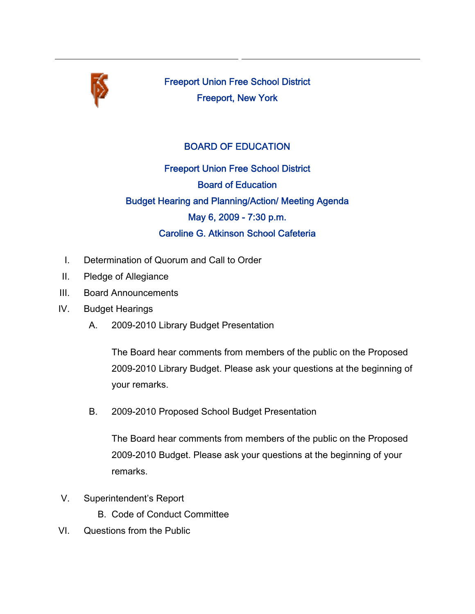

Freeport Union Free School District Freeport, New York

## BOARD OF EDUCATION

Freeport Union Free School District Board of Education Budget Hearing and Planning/Action/ Meeting Agenda May 6, 2009 - 7:30 p.m. Caroline G. Atkinson School Cafeteria

- I. Determination of Quorum and Call to Order
- II. Pledge of Allegiance
- III. Board Announcements
- IV. Budget Hearings
	- A. 2009-2010 Library Budget Presentation

The Board hear comments from members of the public on the Proposed 2009-2010 Library Budget. Please ask your questions at the beginning of your remarks.

B. 2009-2010 Proposed School Budget Presentation

The Board hear comments from members of the public on the Proposed 2009-2010 Budget. Please ask your questions at the beginning of your remarks.

- V. Superintendent's Report
	- B. Code of Conduct Committee
- VI. Questions from the Public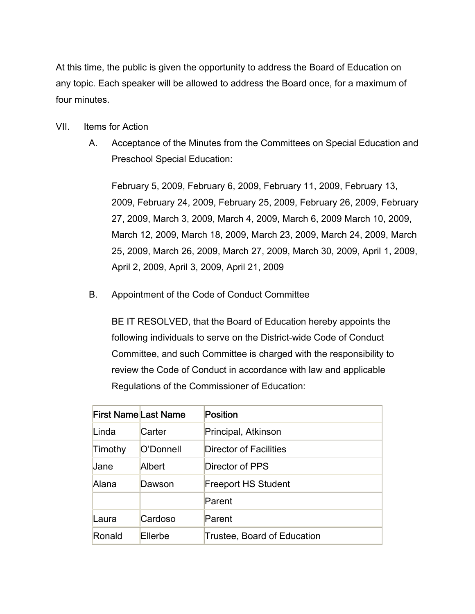At this time, the public is given the opportunity to address the Board of Education on any topic. Each speaker will be allowed to address the Board once, for a maximum of four minutes.

- VII. Items for Action
	- A. Acceptance of the Minutes from the Committees on Special Education and Preschool Special Education:

February 5, 2009, February 6, 2009, February 11, 2009, February 13, 2009, February 24, 2009, February 25, 2009, February 26, 2009, February 27, 2009, March 3, 2009, March 4, 2009, March 6, 2009 March 10, 2009, March 12, 2009, March 18, 2009, March 23, 2009, March 24, 2009, March 25, 2009, March 26, 2009, March 27, 2009, March 30, 2009, April 1, 2009, April 2, 2009, April 3, 2009, April 21, 2009

B. Appointment of the Code of Conduct Committee

BE IT RESOLVED, that the Board of Education hereby appoints the following individuals to serve on the District-wide Code of Conduct Committee, and such Committee is charged with the responsibility to review the Code of Conduct in accordance with law and applicable Regulations of the Commissioner of Education:

| <b>First Name Last Name</b> |           | Position                    |
|-----------------------------|-----------|-----------------------------|
| Linda                       | Carter    | Principal, Atkinson         |
| Timothy                     | O'Donnell | Director of Facilities      |
| Jane                        | Albert    | Director of PPS             |
| Alana                       | Dawson    | <b>Freeport HS Student</b>  |
|                             |           | Parent                      |
| Laura                       | Cardoso   | Parent                      |
| Ronald                      | Ellerbe   | Trustee, Board of Education |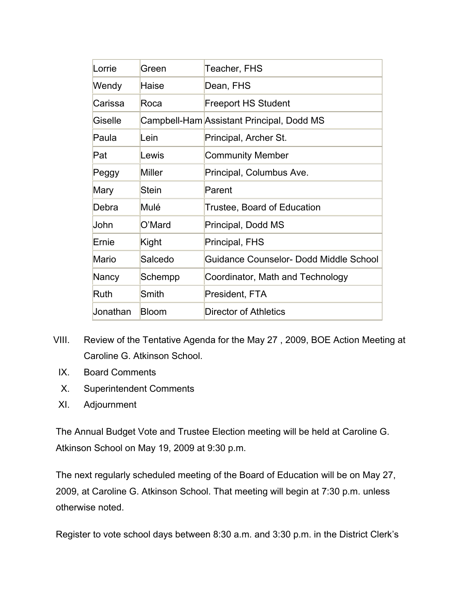| Lorrie   | Green         | Teacher, FHS                              |
|----------|---------------|-------------------------------------------|
| Wendy    | Haise         | Dean, FHS                                 |
| Carissa  | Roca          | <b>Freeport HS Student</b>                |
| Giselle  |               | Campbell-Ham Assistant Principal, Dodd MS |
| Paula    | Lein          | Principal, Archer St.                     |
| Pat      | Lewis         | <b>Community Member</b>                   |
| Peggy    | <b>Miller</b> | Principal, Columbus Ave.                  |
| Mary     | Stein         | Parent                                    |
| Debra    | Mulé          | Trustee, Board of Education               |
| John     | O'Mard        | Principal, Dodd MS                        |
| Ernie    | Kight         | Principal, FHS                            |
| Mario    | Salcedo       | Guidance Counselor- Dodd Middle School    |
| Nancy    | Schempp       | Coordinator, Math and Technology          |
| Ruth     | Smith         | President, FTA                            |
| Jonathan | Bloom         | <b>Director of Athletics</b>              |

- VIII. Review of the Tentative Agenda for the May 27 , 2009, BOE Action Meeting at Caroline G. Atkinson School.
	- IX. Board Comments
	- X. Superintendent Comments
	- XI. Adjournment

The Annual Budget Vote and Trustee Election meeting will be held at Caroline G. Atkinson School on May 19, 2009 at 9:30 p.m.

The next regularly scheduled meeting of the Board of Education will be on May 27, 2009, at Caroline G. Atkinson School. That meeting will begin at 7:30 p.m. unless otherwise noted.

Register to vote school days between 8:30 a.m. and 3:30 p.m. in the District Clerk's